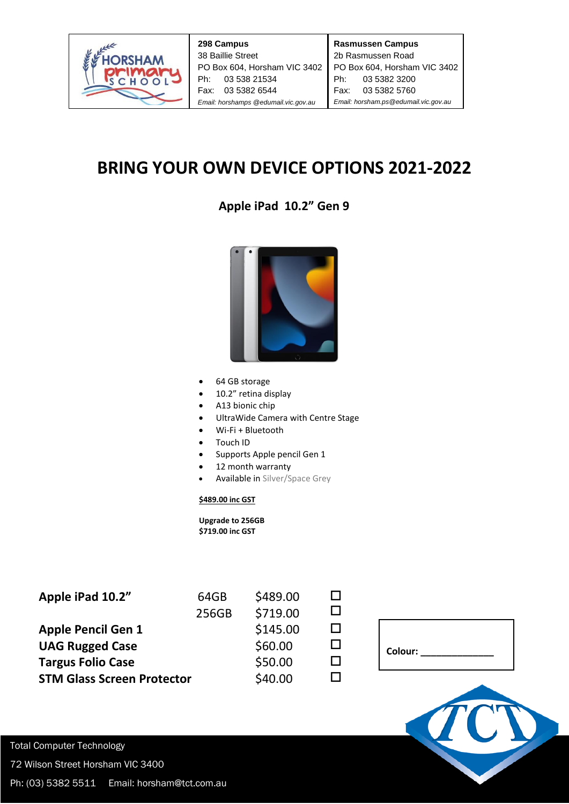

|                                      | 298 Campus                   |  |
|--------------------------------------|------------------------------|--|
| 38 Baillie Street                    |                              |  |
|                                      | PO Box 604, Horsham VIC 3402 |  |
|                                      | Ph: 03 538 21534             |  |
|                                      | Fax: 03 5382 6544            |  |
| Email: horshamps @edumail.vic.gov.au |                              |  |

## **BRING YOUR OWN DEVICE OPTIONS 2021-2022**

## **Apple iPad 10.2" Gen 9**



- 64 GB storage
- 10.2" retina display
- A13 bionic chip
- UltraWide Camera with Centre Stage
- Wi-Fi + Bluetooth
- Touch ID
- Supports Apple pencil Gen 1
- 12 month warranty
- Available in Silver/Space Grey

## **\$489.00 inc GST**

 **Upgrade to 256GB \$719.00 inc GST**

| 64GB  | \$489.00 |  |
|-------|----------|--|
| 256GB | \$719.00 |  |
|       | \$145.00 |  |
|       | \$60.00  |  |
|       | \$50.00  |  |
|       | \$40.00  |  |
|       |          |  |

| Colour: |
|---------|
|---------|



Total Computer Technology 72 Wilson Street Horsham VIC 3400

Ph: (03) 5382 5511 Email: horsham@tct.com.au